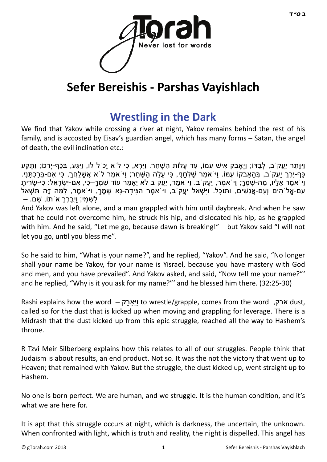

# **Sefer Bereishis - Parshas Vayishlach**

### **[Wrestling in the Dark](http://gtorah.com/2011/12/08/wrestling-in-the-dark/)**

We find that Yakov while crossing a river at night, Yakov remains behind the rest of his family, and is accosted by Eisav's guardian angel, which has many forms – Satan, the angel of death, the evil inclination etc.:

וַיִּוְּתֵר יַעֲק<sup>ֹ</sup>ב, לְבַדּוֹ; וַיֵּאֲבֵק אִישׁ עִמּוֹ, עַד עֵלוֹת הַשָּׁחַר. וַיַּרְא, כִּי לֹא יַכֹל לוֹ, וַיִּגַּע, בְּכַף-יְרֵכוֹ; וַתֵּקַע ַּכְּף-יֶרֶךְ יַעֱקֹ ב, בְּהאבָקוֹ עִמּוֹ. וִיֹּאמֶר שַׁלְּחנִי, כִּי עַלָּה הַשַּׁחַר; וִיּׂאמֶר לֹא אֲשַׁלָּחֲךָ, כִּי אִם-בַּרכָתֲנִי. ּוִיֹּאמֶר אַלָיו, מַה-שָׁמֶךָ; וִיֹּאמֶר, יַעֲקֹיב. וִי ֹאמֶר, יַעֲקֹיב לא יַאמר עוֹד שַׁמְרָ–כִּי, אִם-יִשְׂרָאל: כִּי-שֶׂריתַ ּעִם-אֶל הִים וְעִם-אֲנָשִׁים, וַתּוּכָל. וַיִּשְׁאַל יַעֲקֹ ב, וַיֹּאמֶר הַגִּידָה-נָּא שְׁמֶךָ, וַיֹּאמֶר, לָמָּה זֶה תִּשְׁאַל לִשְׁמִי; וַיְבַרֶךָ א<sup>ָ'</sup>תוֹ, שַׁם. –

And Yakov was left alone, and a man grappled with him until daybreak. And when he saw that he could not overcome him, he struck his hip, and dislocated his hip, as he grappled with him. And he said, "Let me go, because dawn is breaking!" – but Yakov said "I will not let you go, until you bless me".

So he said to him, "What is your name?", and he replied, "Yakov". And he said, "No longer shall your name be Yakov, for your name is Yisrael, because you have mastery with God and men, and you have prevailed". And Yakov asked, and said, "Now tell me your name?"' and he replied, "Why is it you ask for my name?"' and he blessed him there. (32:25-30)

Rashi explains how the word – אבק to wrestle/grapple, comes from the word  $\mu$ אבק dust, called so for the dust that is kicked up when moving and grappling for leverage. There is a Midrash that the dust kicked up from this epic struggle, reached all the way to Hashem's throne.

R Tzvi Meir Silberberg explains how this relates to all of our struggles. People think that Judaism is about results, an end product. Not so. It was the not the victory that went up to Heaven; that remained with Yakov. But the struggle, the dust kicked up, went straight up to Hashem.

No one is born perfect. We are human, and we struggle. It is the human condition, and it's what we are here for.

It is apt that this struggle occurs at night, which is darkness, the uncertain, the unknown. When confronted with light, which is truth and reality, the night is dispelled. This angel has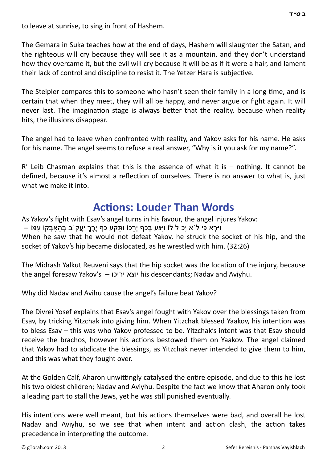to leave at sunrise, to sing in front of Hashem.

The Gemara in Suka teaches how at the end of days, Hashem will slaughter the Satan, and the righteous will cry because they will see it as a mountain, and they don't understand how they overcame it, but the evil will cry because it will be as if it were a hair, and lament their lack of control and discipline to resist it. The Yetzer Hara is subjective.

The Steipler compares this to someone who hasn't seen their family in a long time, and is certain that when they meet, they will all be happy, and never argue or fight again. It will never last. The imagination stage is always better that the reality, because when reality hits, the illusions disappear.

The angel had to leave when confronted with reality, and Yakov asks for his name. He asks for his name. The angel seems to refuse a real answer, "Why is it you ask for my name?".

 $R'$  Leib Chasman explains that this is the essence of what it is – nothing. It cannot be defined, because it's almost a reflection of ourselves. There is no answer to what is, just what we make it into.

### **Acti[ons: Louder Than Words](http://gtorah.com/2010/11/18/angel-combat/)**

As Yakov's fight with Esav's angel turns in his favour, the angel injures Yakov: וַיִּרְא כִּי לֹא יַכֹּל לוֹ וַי<sub>ּ</sub>גַּע בְּכַף יְרֹכוֹ וַתַּקַע כַּף יֶרֶךְ יִעֲק<sup>ֹ</sup>ב בְּהֵאבְקוֹ עִמּוֹ – When he saw that he would not defeat Yakov, he struck the socket of his hip, and the socket of Yakov's hip became dislocated, as he wrestled with him. (32:26)

The Midrash Yalkut Reuveni says that the hip socket was the location of the injury, because the angel foresaw Yakov's – יריכו יוצא his descendants; Nadav and Aviyhu.

Why did Nadav and Avihu cause the angel's failure beat Yakov?

The Divrei Yosef explains that Esav's angel fought with Yakov over the blessings taken from Esav, by tricking Yitzchak into giving him. When Yitzchak blessed Yaakov, his intention was to bless Esav – this was who Yakov professed to be. Yitzchak's intent was that Esav should receive the brachos, however his actions bestowed them on Yaakov. The angel claimed that Yakov had to abdicate the blessings, as Yitzchak never intended to give them to him, and this was what they fought over.

At the Golden Calf, Aharon unwittingly catalysed the entire episode, and due to this he lost his two oldest children; Nadav and Aviyhu. Despite the fact we know that Aharon only took a leading part to stall the Jews, yet he was still punished eventually.

His intentions were well meant, but his actions themselves were bad, and overall he lost Nadav and Aviyhu, so we see that when intent and action clash, the action takes precedence in interpreting the outcome.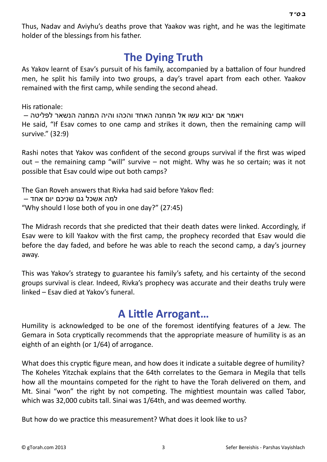Thus, Nadav and Aviyhu's deaths prove that Yaakov was right, and he was the legitimate holder of the blessings from his father.

### **[The Dying Truth](http://gtorah.com/2010/11/18/the-dying-truth/)**

As Yakov learnt of Esav's pursuit of his family, accompanied by a battalion of four hundred men, he split his family into two groups, a day's travel apart from each other. Yaakov remained with the first camp, while sending the second ahead.

His rationale:

ויאמר אם יבוא עשו אל המחנה האחד והכהו והיה המחנה הנשאר לפליטה – He said, "If Esav comes to one camp and strikes it down, then the remaining camp will survive." (32:9)

Rashi notes that Yakov was confident of the second groups survival if the first was wiped out  $-$  the remaining camp "will" survive  $-$  not might. Why was he so certain; was it not possible that Esav could wipe out both camps?

The Gan Roveh answers that Rivka had said before Yakov fled: למה אשכל גם שניכם יום אחד – "Why should I lose both of you in one day?" (27:45)

The Midrash records that she predicted that their death dates were linked. Accordingly, if Esav were to kill Yaakov with the first camp, the prophecy recorded that Esav would die before the day faded, and before he was able to reach the second camp, a day's journey away.

This was Yakov's strategy to guarantee his family's safety, and his certainty of the second groups survival is clear. Indeed, Rivka's prophecy was accurate and their deaths truly were linked – Esav died at Yakov's funeral.

### **A LiƩ[le Arrogant…](http://gtorah.com/2010/02/03/an-eighth-of-an-eighth/)**

Humility is acknowledged to be one of the foremost identifying features of a Jew. The Gemara in Sota cryptically recommends that the appropriate measure of humility is as an eighth of an eighth (or 1/64) of arrogance.

What does this cryptic figure mean, and how does it indicate a suitable degree of humility? The Koheles Yitzchak explains that the 64th correlates to the Gemara in Megila that tells how all the mountains competed for the right to have the Torah delivered on them, and Mt. Sinai "won" the right by not competing. The mightiest mountain was called Tabor, which was 32,000 cubits tall. Sinai was 1/64th, and was deemed worthy.

But how do we practice this measurement? What does it look like to us?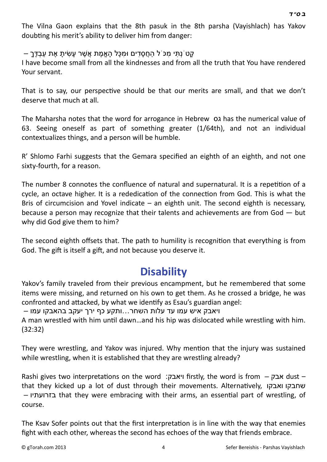The Vilna Gaon explains that the 8th pasuk in the 8th parsha (Vayishlach) has Yakov doubting his merit's ability to deliver him from danger:

ַ קָטֹנְתִּי מִכֹּ ל הַחֲסִדִּים וּמִכָּל הַאֱמֶת אֲשֶׁר עַשׂיִת אֶת עַבְדֶּךָ

I have become small from all the kindnesses and from all the truth that You have rendered Your servant.

That is to say, our perspective should be that our merits are small, and that we don't deserve that much at all.

The Maharsha notes that the word for arrogance in Hebrew 01 has the numerical value of 63. Seeing oneself as part of something greater (1/64th), and not an individual contextualizes things, and a person will be humble.

R' Shlomo Farhi suggests that the Gemara specified an eighth of an eighth, and not one sixty-fourth, for a reason.

The number 8 connotes the confluence of natural and supernatural. It is a repetition of a cycle, an octave higher. It is a rededication of the connection from God. This is what the Bris of circumcision and Yovel indicate  $-$  an eighth unit. The second eighth is necessary, because a person may recognize that their talents and achievements are from God — but why did God give them to him?

The second eighth offsets that. The path to humility is recognition that everything is from God. The gift is itself a gift, and not because you deserve it.

### **[Disability](http://gtorah.com/2009/12/02/a-lame-excuse/)**

Yakov's family traveled from their previous encampment, but he remembered that some items were missing, and returned on his own to get them. As he crossed a bridge, he was confronted and attacked, by what we identify as Esau's guardian angel:

ויאבק איש עמו עד עלות השחר...ותקע כף ירך יעקב בהאבקו עמו –

A man wrestled with him until dawn...and his hip was dislocated while wrestling with him. (32:32)

They were wrestling, and Yakov was injured. Why mention that the injury was sustained while wrestling, when it is established that they are wrestling already?

Rashi gives two interpretations on the word :ויאבק firstly, the word is from  $-$  אבק dust – that they kicked up a lot of dust through their movements. AlternaƟvely, ואבקו שחבקו – בזרועתיו that they were embracing with their arms, an essenƟal part of wrestling, of course.

The Ksav Sofer points out that the first interpretation is in line with the way that enemies fight with each other, whereas the second has echoes of the way that friends embrace.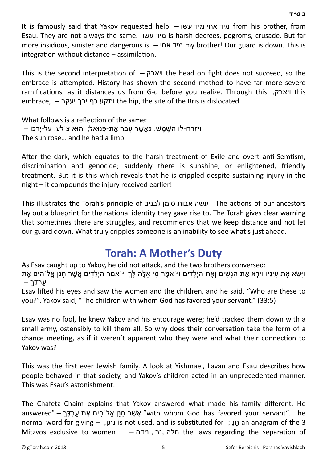It is famously said that Yakov requested help – עשו מיד אחי מיד from his brother, from Esau. They are not always the same. עשו מיד is harsh decrees, pogroms, crusade. But far more insidious, sinister and dangerous is – אחי מיד my brother! Our guard is down. This is  $interrelation$  without distance  $-$  assimilation.

This is the second interpretation of  $-$  ויאבק $-$  the head on fight does not succeed, so the embrace is attempted. History has shown the second method to have far more severe ramificaƟons, as it distances us from G-d before you realize. Through this ,ויאבק this embrace, – ירך יעקב the hip, the site of the Bris is dislocated.

What follows is a reflection of the same: וּיִזְרַח-לוֹ הַשֶּׁמֶשׁ, כַּאֲשֶׁר עַבַר אֶת-פָּנוּאַל; וְהוּא צֹ לֹע, עַל-יְרַכוֹ – The sun rose… and he had a limp.

After the dark, which equates to the harsh treatment of Exile and overt anti-Semtism, discrimination and genocide; suddenly there is sunshine, or enlightened, friendly treatment. But it is this which reveals that he is crippled despite sustaining injury in the night – it compounds the injury received earlier!

This illustrates the Torah's principle of לבנים סימן אבות עשה - The acƟons of our ancestors lay out a blueprint for the national identity they gave rise to. The Torah gives clear warning that sometimes there are struggles, and recommends that we keep distance and not let our guard down. What truly cripples someone is an inability to see what's just ahead.

### **[Torah: A Mother's Duty](http://gtorah.com/2009/12/01/whats-so-special-about-jewish-children/)**

As Esav caught up to Yakov, he did not attack, and the two brothers conversed: וַיִּשָּׂא אֶת עֵינָיו וַיַּרְא אֶת הַנָּשִׁים וְאֶת הַיִלַדִים וַי<sup>ֹ</sup>אמֵר מִי אֵלֵּה לַּךְ וִיֹּאמֹר ה**ִילַדִים אֲשֶׁר חַנַן אֵל**ֹ הים אֵת  $-$  עַבְדֶּךָ

Esav lifted his eyes and saw the women and the children, and he said, "Who are these to you?". Yakov said, "The children with whom God has favored your servant." (33:5)

Esav was no fool, he knew Yakov and his entourage were; he'd tracked them down with a small army, ostensibly to kill them all. So why does their conversation take the form of a chance meeting, as if it weren't apparent who they were and what their connection to Yakov was?

This was the first ever Jewish family. A look at Yishmael, Lavan and Esau describes how people behaved in that society, and Yakov's children acted in an unprecedented manner. This was Esau's astonishment.

The Chafetz Chaim explains that Yakov answered what made his family different. He answered" – אֲ אֱ יְחֵנן אֱלֹהִים אֶת עַבְדֶּך – "answered" – אֲ עָבָדֶ normal word for giving – ,נתן, is not used, and is substituted for  $\eta$ כון; an anagram of the 3 Mitzvos exclusive to women – – נידה , נר, חלה the laws regarding the separaƟon of

 *[ב](http://en.wikipedia.org/wiki/Bet_%28letter%29) [ס](http://en.wikipedia.org/wiki/Samekh)" [ד](http://en.wikipedia.org/wiki/Dalet)*